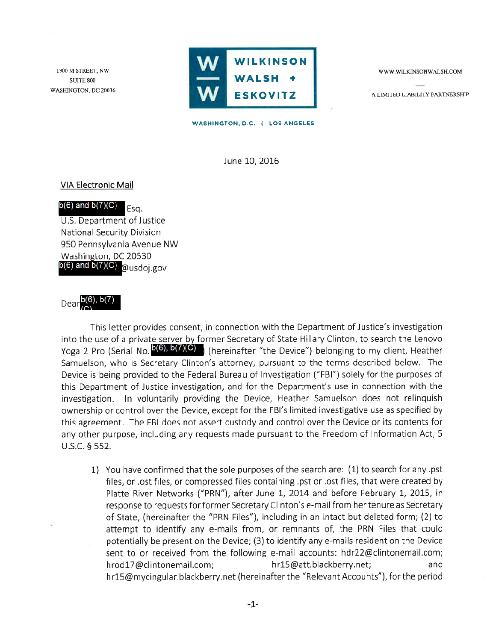1900 M STREET, NW **SUITE 800** WASHINGTON, DC 20036



WWW.WILKINSONWALSH.COM

A LIMITED LIABILITY PARTNERSHIP

WASHINGTON, D.C. | LOS ANGELES

June 10, 2016

# **VIA Electronic Mail**

#### $b(6)$  and  $b(7)(C)$ Esa.

U.S. Department of Justice National Security Division 950 Pennsylvania Avenue NW Washington, DC 20530  $b(6)$  and  $b(7)(C)$  @usdoj.gov

# Dear  $b(6)$ ,  $b(7)$

This letter provides consent, in connection with the Department of Justice's investigation into the use of a private server by former Secretary of State Hillary Clinton, to search the Lenovo Yoga 2 Pro (Serial No.  $b(6)$ ,  $b(7)(C)$ ) (hereinafter "the Device") belonging to my client, Heather Samuelson, who is Secretary Clinton's attorney, pursuant to the terms described below. The Device is being provided to the Federal Bureau of Investigation ("FBI") solely for the purposes of this Department of Justice investigation, and for the Department's use in connection with the investigation. In voluntarily providing the Device, Heather Samuelson does not relinquish ownership or control over the Device, except for the FBI's limited investigative use as specified by this agreement. The FBI does not assert custody and control over the Device or its contents for any other purpose, including any requests made pursuant to the Freedom of Information Act, 5 U.S.C. § 552.

1) You have confirmed that the sole purposes of the search are: (1) to search for any .pst files, or .ost files, or compressed files containing .pst or .ost files, that were created by Platte River Networks ("PRN"), after June 1, 2014 and before February 1, 2015, in response to requests for former Secretary Clinton's e-mail from her tenure as Secretary of State, (hereinafter the "PRN Files"), including in an intact but deleted form; (2) to attempt to identify any e-mails from, or remnants of, the PRN Files that could potentially be present on the Device; (3) to identify any e-mails resident on the Device sent to or received from the following e-mail accounts: hdr22@clintonemail.com; hrod17@clintonemail.com; hr15@att.blackberry.net; and hr15@mycingular.blackberry.net (hereinafter the "Relevant Accounts"), for the period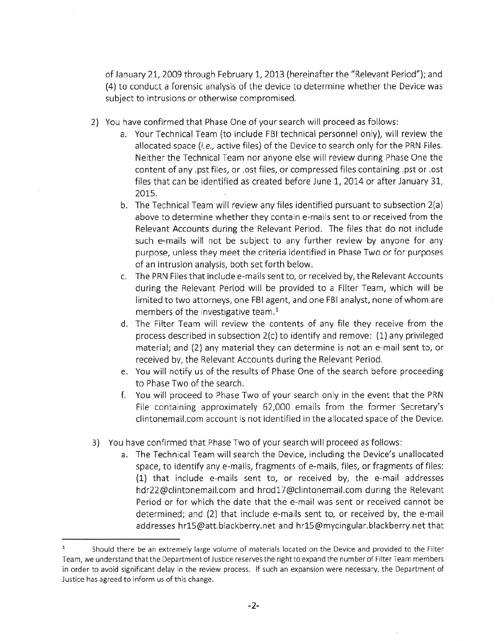of January 21, 2009 through February 1, 2013 (hereinafter the "Relevant Period"); and (4) to conduct a forensic analysis of the device to determine whether the Device was subject to intrusions or otherwise compromised.

- 2) You have confirmed that Phase One of your search will proceed as follows:
	- a. Your Technical Team (to include FBI technical personnel only), will review the allocated space (*i.e.*, active files) of the Device to search only for the PRN Files. Neither the Technical Team nor anyone else will review during Phase One the content of any .pst files, or .ost files, or compressed files containing .pst or .ost files that can be identified as created before June 1, 2014 or after January 31, 2015.
	- b. The Technical Team will review any files identified pursuant to subsection 2(a) above to determine whether they contain e-mails sent to or received from the Relevant Accounts during the Relevant Period. The files that do not include such e-mails will not be subject to any further review by anyone for any purpose, unless they meet the criteria identified in Phase Two or for purposes of an intrusion analysis, both set forth below.
	- c. The PRN Files that include e-mails sent to, or received by, the Relevant Accounts during the Relevant Period will be provided to a Filter Team, which will be limited to two attorneys, one FBI agent, and one FBI analyst, none of whom are members of the investigative team.<sup>1</sup>
	- d. The Filter Team will review the contents of any file they receive from the process described in subsection  $2(c)$  to identify and remove:  $(1)$  any privileged material; and (2) any material they can determine is not an e-mail sent to, or received by, the Relevant Accounts during the Relevant Period.
	- e. You will notify us of the results of Phase One of the search before proceeding to Phase Two of the search.
	- f. You will proceed to Phase Two of your search only in the event that the PRN File containing approximately 62,000 emails from the former Secretary's clintonemail.com account is not identified in the allocated space of the Device.
- 3) You have confirmed that Phase Two of your search will proceed as follows:
	- a. The Technical Team will search the Device, including the Device's unallocated space, to identify any e-mails, fragments of e-mails, files, or fragments of files: (1) that include e-mails sent to, or received by, the e-mail addresses hdr22@clintonemail.com and hrod17@clintonemail.com during the Relevant Period or for which the date that the e-mail was sent or received cannot be determined; and (2) that include e-mails sent to, or received by, the e-mail addresses hr15@att.blackberry.net and hr15@mycingular.blackberry.net that

 $\mathbf 1$ Should there be an extremely large volume of materials located on the Device and provided to the Filter Team, we understand that the Department of Justice reserves the right to expand the number of Filter Team members in order to avoid significant delay in the review process. If such an expansion were necessary, the Department of Justice has agreed to inform us of this change.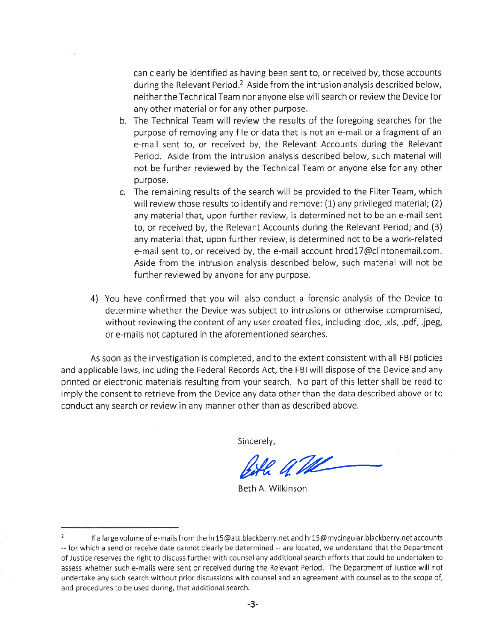can clearly be identified as having been sent to, or received by, those accounts during the Relevant Period.<sup>2</sup> Aside from the intrusion analysis described below, neither the Technical Team nor anyone else will search or review the Device for any other material or for any other purpose.

- b. The Technical Team will review the results of the foregoing searches for the purpose of removing any file or data that is not an e-mail or a fragment of an e-mail sent to, or received by, the Relevant Accounts during the Relevant Period. Aside from the intrusion analysis described below, such material will not be further reviewed by the Technical Team or anyone else for any other purpose.
- c. The remaining results of the search will be provided to the Filter Team, which will review those results to identify and remove: (1) any privileged material; (2) any material that, upon further review, is determined not to be an e-mail sent to, or received by, the Relevant Accounts during the Relevant Period; and (3) any material that, upon further review, is determined not to be a work-related e-mail sent to, or received by, the e-mail account hrod17@clintonemail.com. Aside from the intrusion analysis described below, such material will not be further reviewed by anyone for any purpose.
- 4) You have confirmed that you will also conduct a forensic analysis of the Device to determine whether the Device was subject to intrusions or otherwise compromised, without reviewing the content of any user created files, including .doc, .xls, .pdf, .jpeg, or e-mails not captured in the aforementioned searches.

As soon as the investigation is completed, and to the extent consistent with all FBI policies and applicable laws, including the Federal Records Act, the FBI will dispose of the Device and any printed or electronic materials resulting from your search. No part of this letter shall be read to imply the consent to retrieve from the Device any data other than the data described above or to conduct any search or review in any manner other than as described above.

Sincerely,

Bith a The

Beth A. Wilkinson

 $\overline{2}$ If a large volume of e-mails from the hr15@att.blackberry.net and hr15@mycingular.blackberry.net accounts -- for which a send or receive date cannot clearly be determined -- are located, we understand that the Department of Justice reserves the right to discuss further with counsel any additional search efforts that could be undertaken to assess whether such e-mails were sent or received during the Relevant Period. The Department of Justice will not undertake any such search without prior discussions with counsel and an agreement with counsel as to the scope of, and procedures to be used during, that additional search.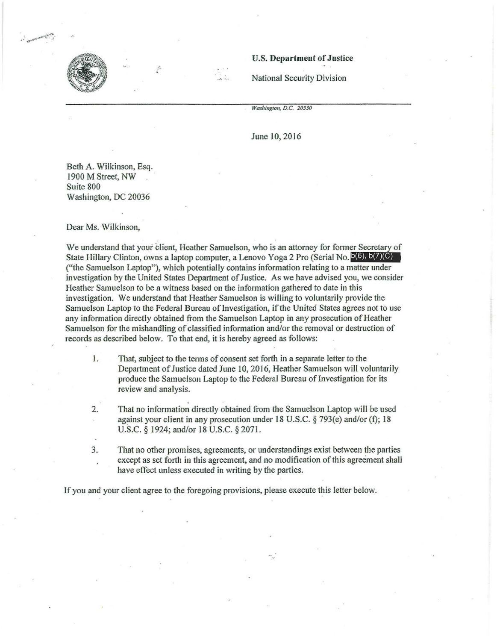

### U.S. Department of Justice

National Security Division

*Washington, D.C.* 20530

June 10, 2016

Beth A. Wilkinson, Esq. 1900 M Street, NW Suite 800 Washington, DC 20036

Dear Ms. Wilkinson,

We understand that your dient, Heather Samuelson, who is an attorney for former Secretary of State Hillary Clinton, owns a laptop computer, a Lenovo Yoga 2 Pro (Serial No.  $b(6)$ ,  $b(7)(C)$ ) ("the Samuelson Laptop"), which potentially contains information relating to a matter under investigation by the United States Department of Justice. As we have advised you, we consider Heather Samuelson to be a witness based on the information gathered to date in this investigation. We understaod that Heather Samuelson is wiJling to voluntarily provide the Samuelson Laptop to the Federal Bureau of Investigation, if the United States agrees not to use any information directly obtained from the Samuelson Laptop in any prosecution of Heather Samuelson for the mishandling of classified information and/or the removal or destruction of records as described below. To that end, it is hereby agreed as follows:

1. That, subject to the terms of consent set forth in a separate letter to the Department of Justice dated June 10, 2016, Heather Samuelson will voluntarily produce the Samuelson Laptop to the Federal Bureau of Investigation for its review and analysis.

2. That no information directly obtained from the Samuelson Laptop will be used against your client in any prosecution under 18 U.S.C. § 793(e) and/or (f); 18 U.S.C. § 1924; and/or 18 U.S.C. § 2071.

3. That no other promises, agreements, or understandings exist between the parties except as set forth in this agreement, and no modification of this agreement shall have effect unless executed in writing by the parties.

If you and your client agree to the foregoing provisions, please execute this letter below.